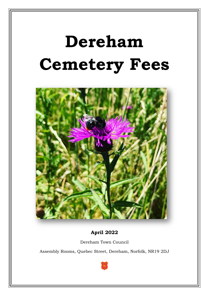# **Dereham Cemetery Fees**



**April 2022**

Dereham Town Council

Assembly Rooms, Quebec Street, Dereham, Norfolk, NR19 2DJ

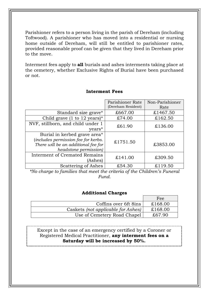Parishioner refers to a person living in the parish of Dereham (including Toftwood). A parishioner who has moved into a residential or nursing home outside of Dereham, will still be entitled to parishioner rates, provided reasonable proof can be given that they lived in Dereham prior to the move.

Interment fees apply to **all** burials and ashes interments taking place at the cemetery, whether Exclusive Rights of Burial have been purchased or not.

## **Interment Fees**

|                                                                                                           | Parishioner Rate<br>(Dereham Resident) | Non-Parishioner<br>Rate |
|-----------------------------------------------------------------------------------------------------------|----------------------------------------|-------------------------|
|                                                                                                           |                                        |                         |
| Standard size grave*                                                                                      | £667.00                                | £1467.50                |
| Child grave (1 to 12 years)*                                                                              | £74.00                                 | £162.50                 |
| NVF, stillborn, and child under 1                                                                         |                                        | £136.00                 |
| years*                                                                                                    | £61.90                                 |                         |
| Burial in kerbed grave area*                                                                              |                                        |                         |
| <i>includes permission fee for kerbs.</i><br>There will be an additional fee for<br>headstone permission) | £1751.50                               | £3853.00                |
| <b>Interment of Cremated Remains</b><br>(Ashes)                                                           | £141.00                                | £309.50                 |
| Scattering of Ashes                                                                                       | £54.30                                 | £119.50                 |

*\*No charge to families that meet the criteria of the Children's Funeral Fund.*

#### **Additional Charges**

|                                    | Fee     |
|------------------------------------|---------|
| Coffins over 6ft 8ins              | £168.00 |
| Caskets (not applicable for Ashes) | £168.00 |
| Use of Cemetery Road Chapel        | £67.90  |

Except in the case of an emergency certified by a Coroner or Registered Medical Practitioner, **any interment fees on a Saturday will be increased by 50%.**

\_\_\_\_\_\_\_\_\_\_\_\_\_\_\_\_\_\_\_\_\_\_\_\_\_\_\_\_\_\_\_\_\_\_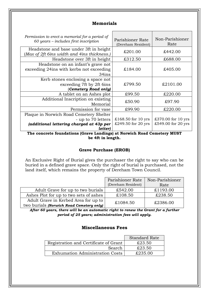## **Memorials**

| Permission to erect a memorial for a period of<br>$60$ years – includes first inscription | Parishioner Rate<br>(Dereham Resident) | Non-Parishioner<br>Rate |
|-------------------------------------------------------------------------------------------|----------------------------------------|-------------------------|
| Headstone and base under 3ft in height<br>(Max of 2ft 6ins width and 4ins thickness.)     | £201.00                                | £442.00                 |
| Headstone over 3ft in height                                                              | £312.50                                | £688.00                 |
| Headstone on an infant's grave not<br>exceeding 24ins with kerbs not exceeding<br>34ins   | £184.00                                | £405.00                 |
| Kerb stones enclosing a space not<br>exceeding 7ft by 2ft 6ins<br>(Cemetery Road only)    | £799.50                                | £2101.00                |
| A tablet on an Ashes plot                                                                 | £99.50                                 | £220.00                 |
| Additional Inscription on existing<br>Memorial                                            | £50.90                                 | £97.90                  |
| Permission for vase                                                                       | £99.90                                 | £220.00                 |
| Plaque in Norwich Road Cemetery Shelter<br>- up to 70 letters                             | $£168.50$ for 10 yrs                   | £370.00 for 10 yrs      |
| (additional lettering charged at 43p per<br>letter)                                       | £249.50 for 20 yrs                     | £549.00 for 20 yrs      |

**The concrete foundations (Grave Landings) at Norwich Road Cemetery MUST be 4ft in length.**

#### **Grave Purchase (EROB)**

An Exclusive Right of Burial gives the purchaser the right to say who can be buried in a defined grave space. Only the right of burial is purchased, not the land itself, which remains the property of Dereham Town Council.

|                                          | Parishioner Rate   | Non-Parishioner |
|------------------------------------------|--------------------|-----------------|
|                                          | (Dereham Resident) | Rate            |
| Adult Grave for up to two burials        | £542.00            | £1193.00        |
| Ashes Plot for up to two sets of ashes   | £108.50            | £238.50         |
| Adult Grave in Kerbed Area for up to     | £1084.50           | £2386.00        |
| two burials (Norwich Road Cemetery only) |                    |                 |

*After 60 years, there will be an automatic right to renew the Grant for a further period of 25 years; administration fees will apply.*

#### **Miscellaneous Fees**

|                                        | <b>Standard Rate</b> |
|----------------------------------------|----------------------|
| Registration and Certificate of Grant  | £23.50               |
| Search                                 | £23.50               |
| <b>Exhumation Administration Costs</b> | £235.00              |